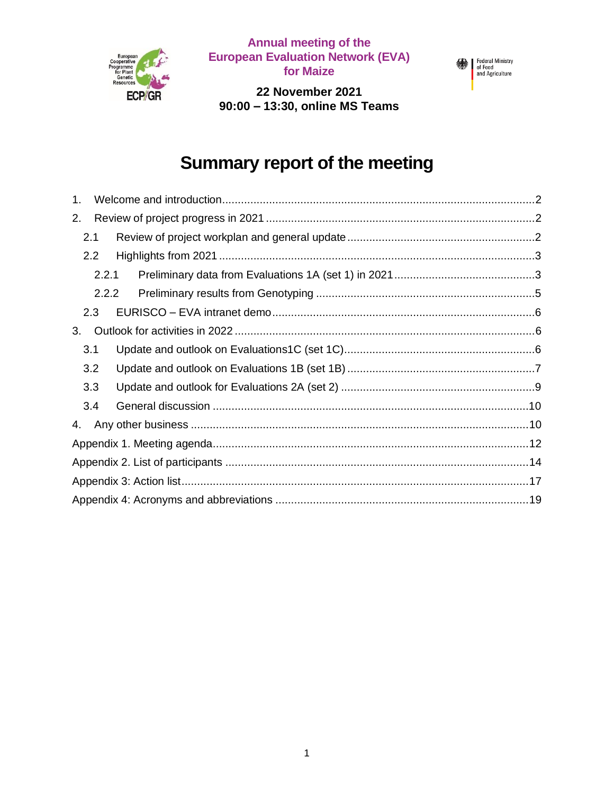

**Annual meeting of the European Evaluation Network (EVA) for Maize**

Federal Ministry<br>of Food<br>and Agriculture

**22 November 2021 90:00 – 13:30, online MS Teams**

# **Summary report of the meeting**

| 1. |       |  |  |  |
|----|-------|--|--|--|
| 2. |       |  |  |  |
|    | 2.1   |  |  |  |
|    | 2.2   |  |  |  |
|    | 2.2.1 |  |  |  |
|    | 2.2.2 |  |  |  |
|    | 2.3   |  |  |  |
| 3. |       |  |  |  |
|    | 3.1   |  |  |  |
|    | 3.2   |  |  |  |
|    | 3.3   |  |  |  |
|    | 3.4   |  |  |  |
| 4. |       |  |  |  |
|    |       |  |  |  |
|    |       |  |  |  |
|    |       |  |  |  |
|    |       |  |  |  |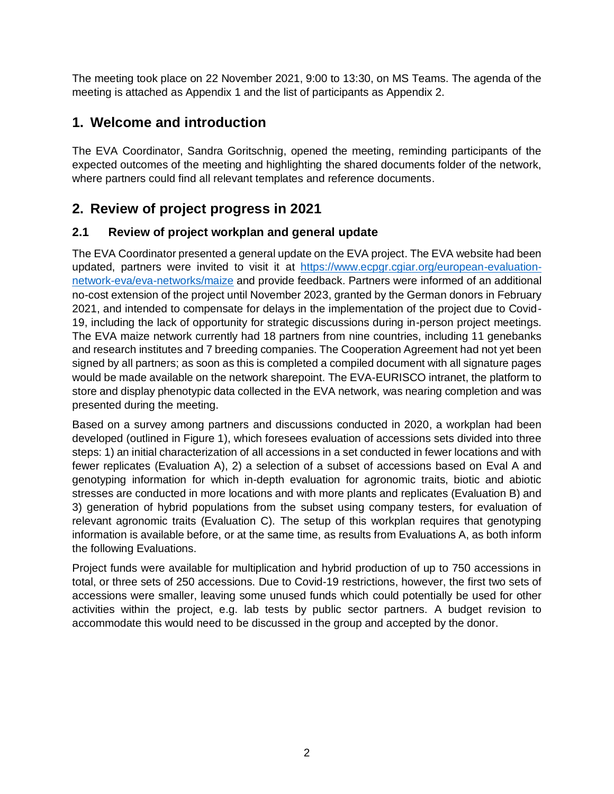The meeting took place on 22 November 2021, 9:00 to 13:30, on MS Teams. The agenda of the meeting is attached as Appendix 1 and the list of participants as Appendix 2.

### **1. Welcome and introduction**

The EVA Coordinator, Sandra Goritschnig, opened the meeting, reminding participants of the expected outcomes of the meeting and highlighting the shared documents folder of the network, where partners could find all relevant templates and reference documents.

# **2. Review of project progress in 2021**

#### **2.1 Review of project workplan and general update**

The EVA Coordinator presented a general update on the EVA project. The EVA website had been updated, partners were invited to visit it at [https://www.ecpgr.cgiar.org/european-evaluation](https://www.ecpgr.cgiar.org/european-evaluation-network-eva/eva-networks/maize)[network-eva/eva-networks/maize](https://www.ecpgr.cgiar.org/european-evaluation-network-eva/eva-networks/maize) and provide feedback. Partners were informed of an additional no-cost extension of the project until November 2023, granted by the German donors in February 2021, and intended to compensate for delays in the implementation of the project due to Covid-19, including the lack of opportunity for strategic discussions during in-person project meetings. The EVA maize network currently had 18 partners from nine countries, including 11 genebanks and research institutes and 7 breeding companies. The Cooperation Agreement had not yet been signed by all partners; as soon as this is completed a compiled document with all signature pages would be made available on the network sharepoint. The EVA-EURISCO intranet, the platform to store and display phenotypic data collected in the EVA network, was nearing completion and was presented during the meeting.

Based on a survey among partners and discussions conducted in 2020, a workplan had been developed (outlined in Figure 1), which foresees evaluation of accessions sets divided into three steps: 1) an initial characterization of all accessions in a set conducted in fewer locations and with fewer replicates (Evaluation A), 2) a selection of a subset of accessions based on Eval A and genotyping information for which in-depth evaluation for agronomic traits, biotic and abiotic stresses are conducted in more locations and with more plants and replicates (Evaluation B) and 3) generation of hybrid populations from the subset using company testers, for evaluation of relevant agronomic traits (Evaluation C). The setup of this workplan requires that genotyping information is available before, or at the same time, as results from Evaluations A, as both inform the following Evaluations.

Project funds were available for multiplication and hybrid production of up to 750 accessions in total, or three sets of 250 accessions. Due to Covid-19 restrictions, however, the first two sets of accessions were smaller, leaving some unused funds which could potentially be used for other activities within the project, e.g. lab tests by public sector partners. A budget revision to accommodate this would need to be discussed in the group and accepted by the donor.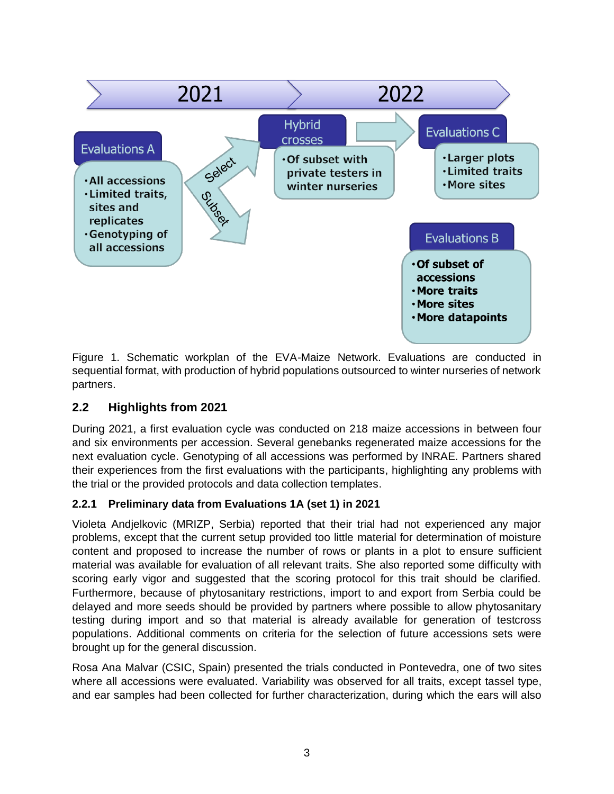

Figure 1. Schematic workplan of the EVA-Maize Network. Evaluations are conducted in sequential format, with production of hybrid populations outsourced to winter nurseries of network partners.

#### **2.2 Highlights from 2021**

During 2021, a first evaluation cycle was conducted on 218 maize accessions in between four and six environments per accession. Several genebanks regenerated maize accessions for the next evaluation cycle. Genotyping of all accessions was performed by INRAE. Partners shared their experiences from the first evaluations with the participants, highlighting any problems with the trial or the provided protocols and data collection templates.

#### **2.2.1 Preliminary data from Evaluations 1A (set 1) in 2021**

Violeta Andjelkovic (MRIZP, Serbia) reported that their trial had not experienced any major problems, except that the current setup provided too little material for determination of moisture content and proposed to increase the number of rows or plants in a plot to ensure sufficient material was available for evaluation of all relevant traits. She also reported some difficulty with scoring early vigor and suggested that the scoring protocol for this trait should be clarified. Furthermore, because of phytosanitary restrictions, import to and export from Serbia could be delayed and more seeds should be provided by partners where possible to allow phytosanitary testing during import and so that material is already available for generation of testcross populations. Additional comments on criteria for the selection of future accessions sets were brought up for the general discussion.

Rosa Ana Malvar (CSIC, Spain) presented the trials conducted in Pontevedra, one of two sites where all accessions were evaluated. Variability was observed for all traits, except tassel type, and ear samples had been collected for further characterization, during which the ears will also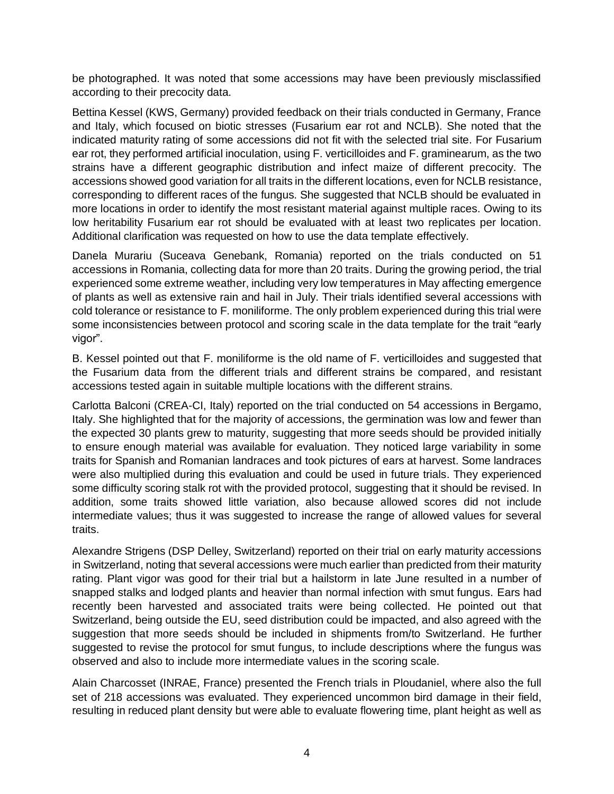be photographed. It was noted that some accessions may have been previously misclassified according to their precocity data.

Bettina Kessel (KWS, Germany) provided feedback on their trials conducted in Germany, France and Italy, which focused on biotic stresses (Fusarium ear rot and NCLB). She noted that the indicated maturity rating of some accessions did not fit with the selected trial site. For Fusarium ear rot, they performed artificial inoculation, using *F. verticilloides* and *F. graminearum*, as the two strains have a different geographic distribution and infect maize of different precocity. The accessions showed good variation for all traits in the different locations, even for NCLB resistance, corresponding to different races of the fungus. She suggested that NCLB should be evaluated in more locations in order to identify the most resistant material against multiple races. Owing to its low heritability Fusarium ear rot should be evaluated with at least two replicates per location. Additional clarification was requested on how to use the data template effectively.

Danela Murariu (Suceava Genebank, Romania) reported on the trials conducted on 51 accessions in Romania, collecting data for more than 20 traits. During the growing period, the trial experienced some extreme weather, including very low temperatures in May affecting emergence of plants as well as extensive rain and hail in July. Their trials identified several accessions with cold tolerance or resistance to *F. moniliforme*. The only problem experienced during this trial were some inconsistencies between protocol and scoring scale in the data template for the trait "early vigor".

B. Kessel pointed out that *F. moniliforme* is the old name of *F. verticilloides* and suggested that the Fusarium data from the different trials and different strains be compared, and resistant accessions tested again in suitable multiple locations with the different strains.

Carlotta Balconi (CREA-CI, Italy) reported on the trial conducted on 54 accessions in Bergamo, Italy. She highlighted that for the majority of accessions, the germination was low and fewer than the expected 30 plants grew to maturity, suggesting that more seeds should be provided initially to ensure enough material was available for evaluation. They noticed large variability in some traits for Spanish and Romanian landraces and took pictures of ears at harvest. Some landraces were also multiplied during this evaluation and could be used in future trials. They experienced some difficulty scoring stalk rot with the provided protocol, suggesting that it should be revised. In addition, some traits showed little variation, also because allowed scores did not include intermediate values; thus it was suggested to increase the range of allowed values for several traits.

Alexandre Strigens (DSP Delley, Switzerland) reported on their trial on early maturity accessions in Switzerland, noting that several accessions were much earlier than predicted from their maturity rating. Plant vigor was good for their trial but a hailstorm in late June resulted in a number of snapped stalks and lodged plants and heavier than normal infection with smut fungus. Ears had recently been harvested and associated traits were being collected. He pointed out that Switzerland, being outside the EU, seed distribution could be impacted, and also agreed with the suggestion that more seeds should be included in shipments from/to Switzerland. He further suggested to revise the protocol for smut fungus, to include descriptions where the fungus was observed and also to include more intermediate values in the scoring scale.

Alain Charcosset (INRAE, France) presented the French trials in Ploudaniel, where also the full set of 218 accessions was evaluated. They experienced uncommon bird damage in their field, resulting in reduced plant density but were able to evaluate flowering time, plant height as well as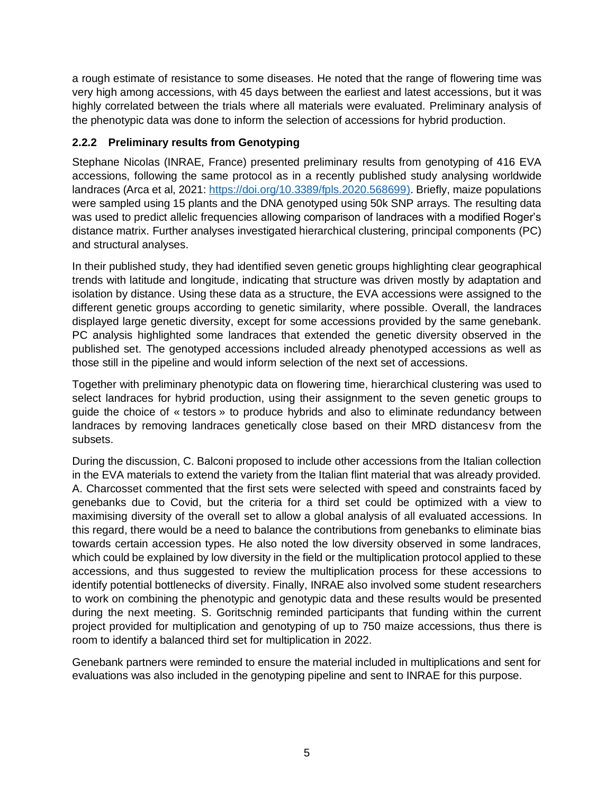a rough estimate of resistance to some diseases. He noted that the range of flowering time was very high among accessions, with 45 days between the earliest and latest accessions, but it was highly correlated between the trials where all materials were evaluated. Preliminary analysis of the phenotypic data was done to inform the selection of accessions for hybrid production.

#### **2.2.2 Preliminary results from Genotyping**

Stephane Nicolas (INRAE, France) presented preliminary results from genotyping of 416 EVA accessions, following the same protocol as in a recently published study analysing worldwide landraces (Arca et al, 2021: [https://doi.org/10.3389/fpls.2020.568699\)](https://doi.org/10.3389/fpls.2020.568699). Briefly, maize populations were sampled using 15 plants and the DNA genotyped using 50k SNP arrays. The resulting data was used to predict allelic frequencies allowing comparison of landraces with a modified Roger's distance matrix. Further analyses investigated hierarchical clustering, principal components (PC) and structural analyses.

In their published study, they had identified seven genetic groups highlighting clear geographical trends with latitude and longitude, indicating that structure was driven mostly by adaptation and isolation by distance. Using these data as a structure, the EVA accessions were assigned to the different genetic groups according to genetic similarity, where possible. Overall, the landraces displayed large genetic diversity, except for some accessions provided by the same genebank. PC analysis highlighted some landraces that extended the genetic diversity observed in the published set. The genotyped accessions included already phenotyped accessions as well as those still in the pipeline and would inform selection of the next set of accessions.

Together with preliminary phenotypic data on flowering time, hierarchical clustering was used to select landraces for hybrid production, using their assignment to the seven genetic groups to guide the choice of « testors » to produce hybrids and also to eliminate redundancy between landraces by removing landraces genetically close based on their MRD distancesv from the subsets.

During the discussion, C. Balconi proposed to include other accessions from the Italian collection in the EVA materials to extend the variety from the Italian flint material that was already provided. A. Charcosset commented that the first sets were selected with speed and constraints faced by genebanks due to Covid, but the criteria for a third set could be optimized with a view to maximising diversity of the overall set to allow a global analysis of all evaluated accessions. In this regard, there would be a need to balance the contributions from genebanks to eliminate bias towards certain accession types. He also noted the low diversity observed in some landraces, which could be explained by low diversity in the field or the multiplication protocol applied to these accessions, and thus suggested to review the multiplication process for these accessions to identify potential bottlenecks of diversity. Finally, INRAE also involved some student researchers to work on combining the phenotypic and genotypic data and these results would be presented during the next meeting. S. Goritschnig reminded participants that funding within the current project provided for multiplication and genotyping of up to 750 maize accessions, thus there is room to identify a balanced third set for multiplication in 2022.

Genebank partners were reminded to ensure the material included in multiplications and sent for evaluations was also included in the genotyping pipeline and sent to INRAE for this purpose.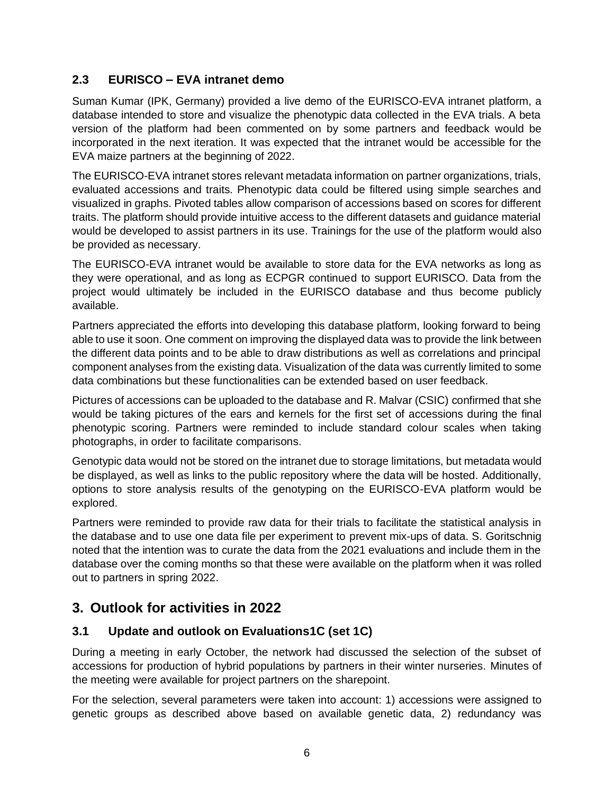#### **2.3 EURISCO – EVA intranet demo**

Suman Kumar (IPK, Germany) provided a live demo of the EURISCO-EVA intranet platform, a database intended to store and visualize the phenotypic data collected in the EVA trials. A beta version of the platform had been commented on by some partners and feedback would be incorporated in the next iteration. It was expected that the intranet would be accessible for the EVA maize partners at the beginning of 2022.

The EURISCO-EVA intranet stores relevant metadata information on partner organizations, trials, evaluated accessions and traits. Phenotypic data could be filtered using simple searches and visualized in graphs. Pivoted tables allow comparison of accessions based on scores for different traits. The platform should provide intuitive access to the different datasets and guidance material would be developed to assist partners in its use. Trainings for the use of the platform would also be provided as necessary.

The EURISCO-EVA intranet would be available to store data for the EVA networks as long as they were operational, and as long as ECPGR continued to support EURISCO. Data from the project would ultimately be included in the EURISCO database and thus become publicly available.

Partners appreciated the efforts into developing this database platform, looking forward to being able to use it soon. One comment on improving the displayed data was to provide the link between the different data points and to be able to draw distributions as well as correlations and principal component analyses from the existing data. Visualization of the data was currently limited to some data combinations but these functionalities can be extended based on user feedback.

Pictures of accessions can be uploaded to the database and R. Malvar (CSIC) confirmed that she would be taking pictures of the ears and kernels for the first set of accessions during the final phenotypic scoring. Partners were reminded to include standard colour scales when taking photographs, in order to facilitate comparisons.

Genotypic data would not be stored on the intranet due to storage limitations, but metadata would be displayed, as well as links to the public repository where the data will be hosted. Additionally, options to store analysis results of the genotyping on the EURISCO-EVA platform would be explored.

Partners were reminded to provide raw data for their trials to facilitate the statistical analysis in the database and to use one data file per experiment to prevent mix-ups of data. S. Goritschnig noted that the intention was to curate the data from the 2021 evaluations and include them in the database over the coming months so that these were available on the platform when it was rolled out to partners in spring 2022.

# **3. Outlook for activities in 2022**

### **3.1 Update and outlook on Evaluations1C (set 1C)**

During a meeting in early October, the network had discussed the selection of the subset of accessions for production of hybrid populations by partners in their winter nurseries. Minutes of the meeting were available for project partners on the sharepoint.

For the selection, several parameters were taken into account: 1) accessions were assigned to genetic groups as described above based on available genetic data, 2) redundancy was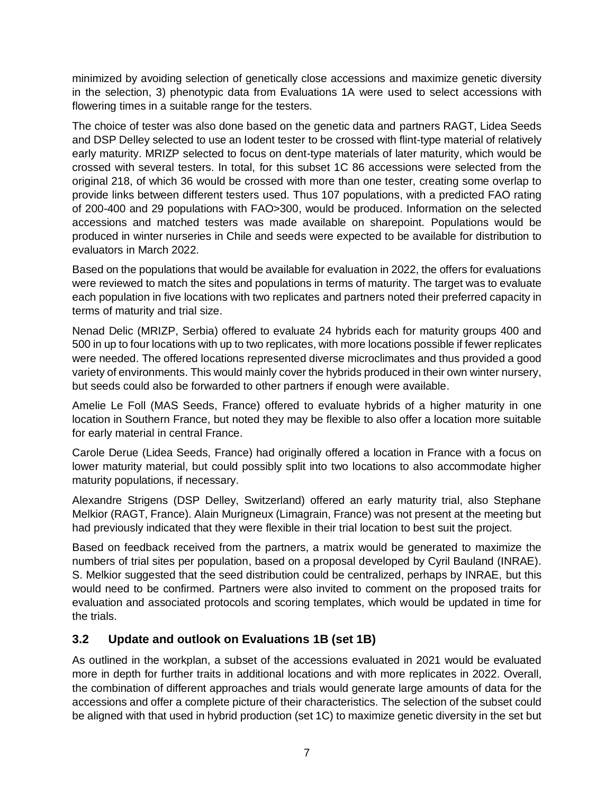minimized by avoiding selection of genetically close accessions and maximize genetic diversity in the selection, 3) phenotypic data from Evaluations 1A were used to select accessions with flowering times in a suitable range for the testers.

The choice of tester was also done based on the genetic data and partners RAGT, Lidea Seeds and DSP Delley selected to use an Iodent tester to be crossed with flint-type material of relatively early maturity. MRIZP selected to focus on dent-type materials of later maturity, which would be crossed with several testers. In total, for this subset 1C 86 accessions were selected from the original 218, of which 36 would be crossed with more than one tester, creating some overlap to provide links between different testers used. Thus 107 populations, with a predicted FAO rating of 200-400 and 29 populations with FAO>300, would be produced. Information on the selected accessions and matched testers was made available on sharepoint. Populations would be produced in winter nurseries in Chile and seeds were expected to be available for distribution to evaluators in March 2022.

Based on the populations that would be available for evaluation in 2022, the offers for evaluations were reviewed to match the sites and populations in terms of maturity. The target was to evaluate each population in five locations with two replicates and partners noted their preferred capacity in terms of maturity and trial size.

Nenad Delic (MRIZP, Serbia) offered to evaluate 24 hybrids each for maturity groups 400 and 500 in up to four locations with up to two replicates, with more locations possible if fewer replicates were needed. The offered locations represented diverse microclimates and thus provided a good variety of environments. This would mainly cover the hybrids produced in their own winter nursery, but seeds could also be forwarded to other partners if enough were available.

Amelie Le Foll (MAS Seeds, France) offered to evaluate hybrids of a higher maturity in one location in Southern France, but noted they may be flexible to also offer a location more suitable for early material in central France.

Carole Derue (Lidea Seeds, France) had originally offered a location in France with a focus on lower maturity material, but could possibly split into two locations to also accommodate higher maturity populations, if necessary.

Alexandre Strigens (DSP Delley, Switzerland) offered an early maturity trial, also Stephane Melkior (RAGT, France). Alain Murigneux (Limagrain, France) was not present at the meeting but had previously indicated that they were flexible in their trial location to best suit the project.

Based on feedback received from the partners, a matrix would be generated to maximize the numbers of trial sites per population, based on a proposal developed by Cyril Bauland (INRAE). S. Melkior suggested that the seed distribution could be centralized, perhaps by INRAE, but this would need to be confirmed. Partners were also invited to comment on the proposed traits for evaluation and associated protocols and scoring templates, which would be updated in time for the trials.

#### **3.2 Update and outlook on Evaluations 1B (set 1B)**

As outlined in the workplan, a subset of the accessions evaluated in 2021 would be evaluated more in depth for further traits in additional locations and with more replicates in 2022. Overall, the combination of different approaches and trials would generate large amounts of data for the accessions and offer a complete picture of their characteristics. The selection of the subset could be aligned with that used in hybrid production (set 1C) to maximize genetic diversity in the set but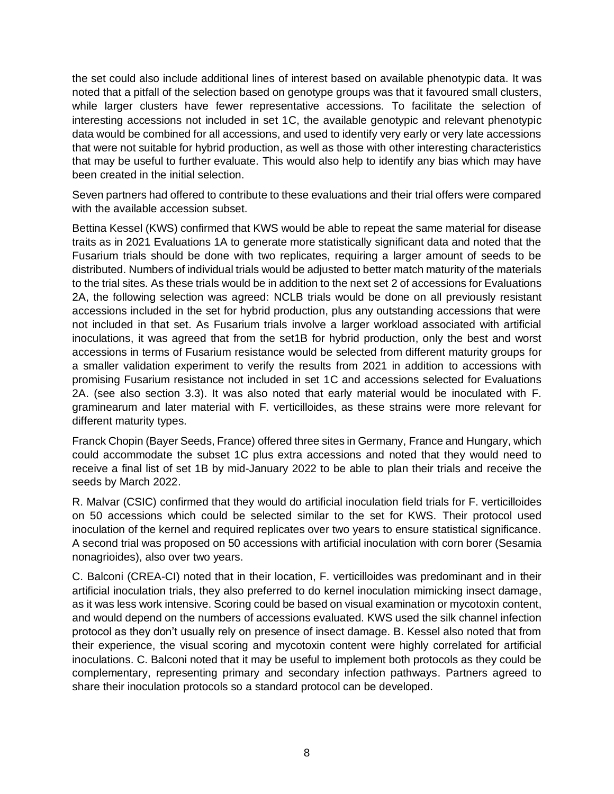the set could also include additional lines of interest based on available phenotypic data. It was noted that a pitfall of the selection based on genotype groups was that it favoured small clusters, while larger clusters have fewer representative accessions. To facilitate the selection of interesting accessions not included in set 1C, the available genotypic and relevant phenotypic data would be combined for all accessions, and used to identify very early or very late accessions that were not suitable for hybrid production, as well as those with other interesting characteristics that may be useful to further evaluate. This would also help to identify any bias which may have been created in the initial selection.

Seven partners had offered to contribute to these evaluations and their trial offers were compared with the available accession subset.

Bettina Kessel (KWS) confirmed that KWS would be able to repeat the same material for disease traits as in 2021 Evaluations 1A to generate more statistically significant data and noted that the *Fusarium* trials should be done with two replicates, requiring a larger amount of seeds to be distributed. Numbers of individual trials would be adjusted to better match maturity of the materials to the trial sites. As these trials would be in addition to the next set 2 of accessions for Evaluations 2A, the following selection was agreed: NCLB trials would be done on all previously resistant accessions included in the set for hybrid production, plus any outstanding accessions that were not included in that set. As Fusarium trials involve a larger workload associated with artificial inoculations, it was agreed that from the set1B for hybrid production, only the best and worst accessions in terms of Fusarium resistance would be selected from different maturity groups for a smaller validation experiment to verify the results from 2021 in addition to accessions with promising Fusarium resistance not included in set 1C and accessions selected for Evaluations 2A. (see also section 3.3). It was also noted that early material would be inoculated with *F. graminearum* and later material with *F. verticilloides*, as these strains were more relevant for different maturity types.

Franck Chopin (Bayer Seeds, France) offered three sites in Germany, France and Hungary, which could accommodate the subset 1C plus extra accessions and noted that they would need to receive a final list of set 1B by mid-January 2022 to be able to plan their trials and receive the seeds by March 2022.

R. Malvar (CSIC) confirmed that they would do artificial inoculation field trials for *F. verticilloides* on 50 accessions which could be selected similar to the set for KWS. Their protocol used inoculation of the kernel and required replicates over two years to ensure statistical significance. A second trial was proposed on 50 accessions with artificial inoculation with corn borer (*Sesamia nonagrioides*), also over two years.

C. Balconi (CREA-CI) noted that in their location, *F. verticilloides* was predominant and in their artificial inoculation trials, they also preferred to do kernel inoculation mimicking insect damage, as it was less work intensive. Scoring could be based on visual examination or mycotoxin content, and would depend on the numbers of accessions evaluated. KWS used the silk channel infection protocol as they don't usually rely on presence of insect damage. B. Kessel also noted that from their experience, the visual scoring and mycotoxin content were highly correlated for artificial inoculations. C. Balconi noted that it may be useful to implement both protocols as they could be complementary, representing primary and secondary infection pathways. Partners agreed to share their inoculation protocols so a standard protocol can be developed.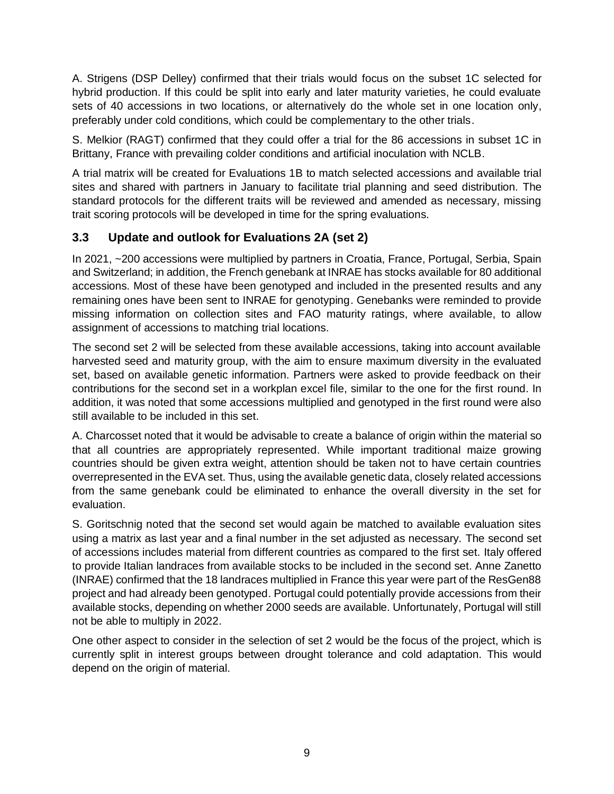A. Strigens (DSP Delley) confirmed that their trials would focus on the subset 1C selected for hybrid production. If this could be split into early and later maturity varieties, he could evaluate sets of 40 accessions in two locations, or alternatively do the whole set in one location only, preferably under cold conditions, which could be complementary to the other trials.

S. Melkior (RAGT) confirmed that they could offer a trial for the 86 accessions in subset 1C in Brittany, France with prevailing colder conditions and artificial inoculation with NCLB.

A trial matrix will be created for Evaluations 1B to match selected accessions and available trial sites and shared with partners in January to facilitate trial planning and seed distribution. The standard protocols for the different traits will be reviewed and amended as necessary, missing trait scoring protocols will be developed in time for the spring evaluations.

#### **3.3 Update and outlook for Evaluations 2A (set 2)**

In 2021, ~200 accessions were multiplied by partners in Croatia, France, Portugal, Serbia, Spain and Switzerland; in addition, the French genebank at INRAE has stocks available for 80 additional accessions. Most of these have been genotyped and included in the presented results and any remaining ones have been sent to INRAE for genotyping. Genebanks were reminded to provide missing information on collection sites and FAO maturity ratings, where available, to allow assignment of accessions to matching trial locations.

The second set 2 will be selected from these available accessions, taking into account available harvested seed and maturity group, with the aim to ensure maximum diversity in the evaluated set, based on available genetic information. Partners were asked to provide feedback on their contributions for the second set in a workplan excel file, similar to the one for the first round. In addition, it was noted that some accessions multiplied and genotyped in the first round were also still available to be included in this set.

A. Charcosset noted that it would be advisable to create a balance of origin within the material so that all countries are appropriately represented. While important traditional maize growing countries should be given extra weight, attention should be taken not to have certain countries overrepresented in the EVA set. Thus, using the available genetic data, closely related accessions from the same genebank could be eliminated to enhance the overall diversity in the set for evaluation.

S. Goritschnig noted that the second set would again be matched to available evaluation sites using a matrix as last year and a final number in the set adjusted as necessary. The second set of accessions includes material from different countries as compared to the first set. Italy offered to provide Italian landraces from available stocks to be included in the second set. Anne Zanetto (INRAE) confirmed that the 18 landraces multiplied in France this year were part of the ResGen88 project and had already been genotyped. Portugal could potentially provide accessions from their available stocks, depending on whether 2000 seeds are available. Unfortunately, Portugal will still not be able to multiply in 2022.

One other aspect to consider in the selection of set 2 would be the focus of the project, which is currently split in interest groups between drought tolerance and cold adaptation. This would depend on the origin of material.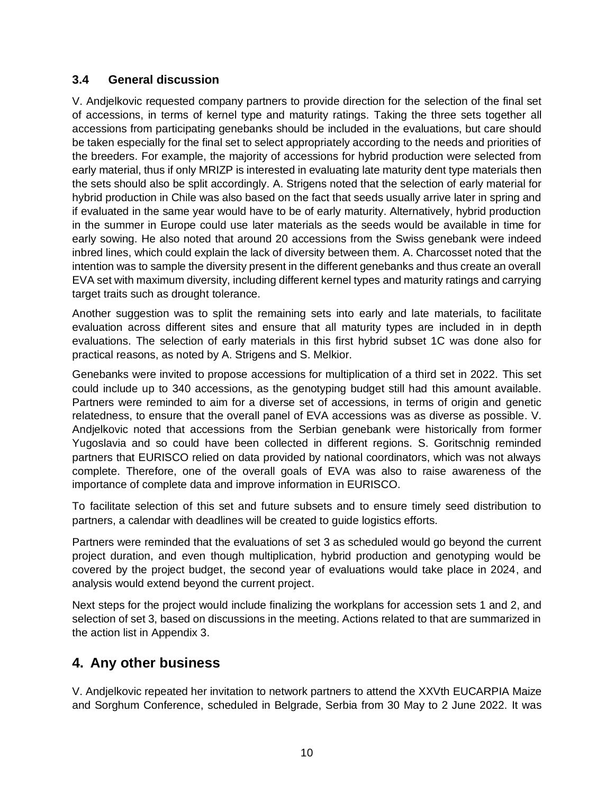#### **3.4 General discussion**

V. Andjelkovic requested company partners to provide direction for the selection of the final set of accessions, in terms of kernel type and maturity ratings. Taking the three sets together all accessions from participating genebanks should be included in the evaluations, but care should be taken especially for the final set to select appropriately according to the needs and priorities of the breeders. For example, the majority of accessions for hybrid production were selected from early material, thus if only MRIZP is interested in evaluating late maturity dent type materials then the sets should also be split accordingly. A. Strigens noted that the selection of early material for hybrid production in Chile was also based on the fact that seeds usually arrive later in spring and if evaluated in the same year would have to be of early maturity. Alternatively, hybrid production in the summer in Europe could use later materials as the seeds would be available in time for early sowing. He also noted that around 20 accessions from the Swiss genebank were indeed inbred lines, which could explain the lack of diversity between them. A. Charcosset noted that the intention was to sample the diversity present in the different genebanks and thus create an overall EVA set with maximum diversity, including different kernel types and maturity ratings and carrying target traits such as drought tolerance.

Another suggestion was to split the remaining sets into early and late materials, to facilitate evaluation across different sites and ensure that all maturity types are included in in depth evaluations. The selection of early materials in this first hybrid subset 1C was done also for practical reasons, as noted by A. Strigens and S. Melkior.

Genebanks were invited to propose accessions for multiplication of a third set in 2022. This set could include up to 340 accessions, as the genotyping budget still had this amount available. Partners were reminded to aim for a diverse set of accessions, in terms of origin and genetic relatedness, to ensure that the overall panel of EVA accessions was as diverse as possible. V. Andjelkovic noted that accessions from the Serbian genebank were historically from former Yugoslavia and so could have been collected in different regions. S. Goritschnig reminded partners that EURISCO relied on data provided by national coordinators, which was not always complete. Therefore, one of the overall goals of EVA was also to raise awareness of the importance of complete data and improve information in EURISCO.

To facilitate selection of this set and future subsets and to ensure timely seed distribution to partners, a calendar with deadlines will be created to guide logistics efforts.

Partners were reminded that the evaluations of set 3 as scheduled would go beyond the current project duration, and even though multiplication, hybrid production and genotyping would be covered by the project budget, the second year of evaluations would take place in 2024, and analysis would extend beyond the current project.

Next steps for the project would include finalizing the workplans for accession sets 1 and 2, and selection of set 3, based on discussions in the meeting. Actions related to that are summarized in the action list in Appendix 3.

### **4. Any other business**

V. Andjelkovic repeated her invitation to network partners to attend the XXVth EUCARPIA Maize and Sorghum Conference, scheduled in Belgrade, Serbia from 30 May to 2 June 2022. It was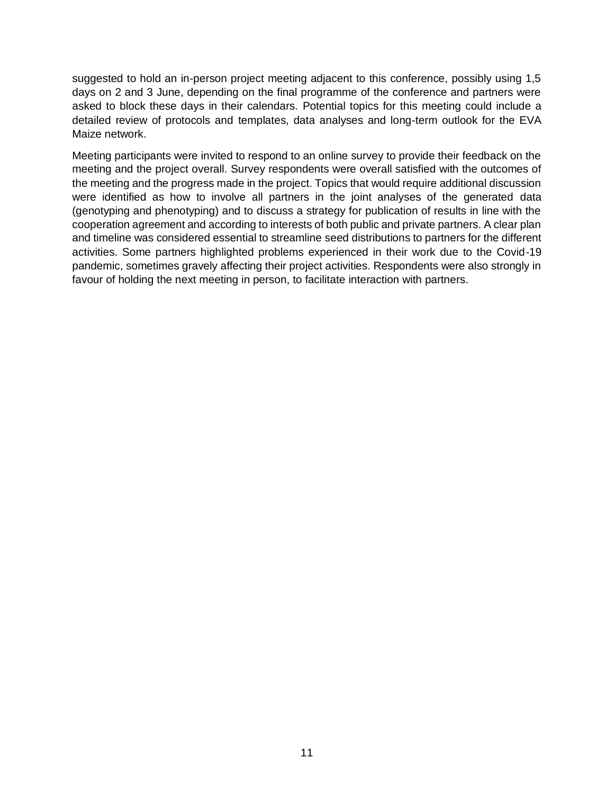suggested to hold an in-person project meeting adjacent to this conference, possibly using 1,5 days on 2 and 3 June, depending on the final programme of the conference and partners were asked to block these days in their calendars. Potential topics for this meeting could include a detailed review of protocols and templates, data analyses and long-term outlook for the EVA Maize network.

Meeting participants were invited to respond to an online survey to provide their feedback on the meeting and the project overall. Survey respondents were overall satisfied with the outcomes of the meeting and the progress made in the project. Topics that would require additional discussion were identified as how to involve all partners in the joint analyses of the generated data (genotyping and phenotyping) and to discuss a strategy for publication of results in line with the cooperation agreement and according to interests of both public and private partners. A clear plan and timeline was considered essential to streamline seed distributions to partners for the different activities. Some partners highlighted problems experienced in their work due to the Covid-19 pandemic, sometimes gravely affecting their project activities. Respondents were also strongly in favour of holding the next meeting in person, to facilitate interaction with partners.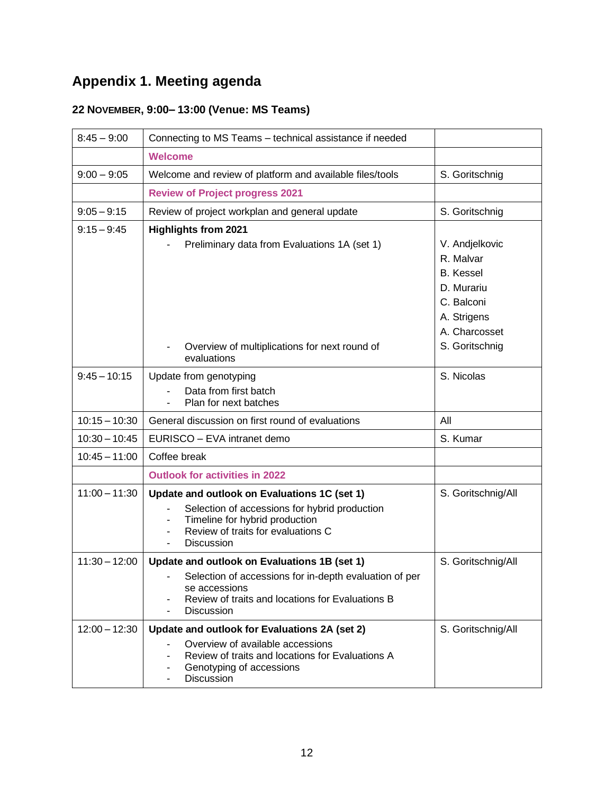# **Appendix 1. Meeting agenda**

# **22 NOVEMBER, 9:00– 13:00 (Venue: MS Teams)**

| $8:45 - 9:00$   | Connecting to MS Teams - technical assistance if needed                                                                                                                                                            |                                                                          |
|-----------------|--------------------------------------------------------------------------------------------------------------------------------------------------------------------------------------------------------------------|--------------------------------------------------------------------------|
|                 | <b>Welcome</b>                                                                                                                                                                                                     |                                                                          |
| $9:00 - 9:05$   | Welcome and review of platform and available files/tools                                                                                                                                                           | S. Goritschnig                                                           |
|                 | <b>Review of Project progress 2021</b>                                                                                                                                                                             |                                                                          |
| $9:05 - 9:15$   | Review of project workplan and general update                                                                                                                                                                      | S. Goritschnig                                                           |
| $9:15 - 9:45$   | <b>Highlights from 2021</b><br>Preliminary data from Evaluations 1A (set 1)                                                                                                                                        | V. Andjelkovic                                                           |
|                 |                                                                                                                                                                                                                    | R. Malvar<br><b>B.</b> Kessel<br>D. Murariu<br>C. Balconi<br>A. Strigens |
|                 | Overview of multiplications for next round of<br>evaluations                                                                                                                                                       | A. Charcosset<br>S. Goritschnig                                          |
| $9:45 - 10:15$  | Update from genotyping<br>Data from first batch<br>Plan for next batches                                                                                                                                           | S. Nicolas                                                               |
| $10:15 - 10:30$ | General discussion on first round of evaluations                                                                                                                                                                   | All                                                                      |
| $10:30 - 10:45$ | EURISCO - EVA intranet demo                                                                                                                                                                                        | S. Kumar                                                                 |
| $10:45 - 11:00$ | Coffee break                                                                                                                                                                                                       |                                                                          |
|                 | <b>Outlook for activities in 2022</b>                                                                                                                                                                              |                                                                          |
| $11:00 - 11:30$ | Update and outlook on Evaluations 1C (set 1)<br>Selection of accessions for hybrid production<br>Timeline for hybrid production<br>Review of traits for evaluations C<br><b>Discussion</b>                         | S. Goritschnig/All                                                       |
| $11:30 - 12:00$ | Update and outlook on Evaluations 1B (set 1)<br>Selection of accessions for in-depth evaluation of per<br>se accessions<br>Review of traits and locations for Evaluations B<br><b>Discussion</b><br>$\blacksquare$ | S. Goritschnig/All                                                       |
| $12:00 - 12:30$ | Update and outlook for Evaluations 2A (set 2)<br>Overview of available accessions<br>Review of traits and locations for Evaluations A<br>Genotyping of accessions<br>Discussion                                    | S. Goritschnig/All                                                       |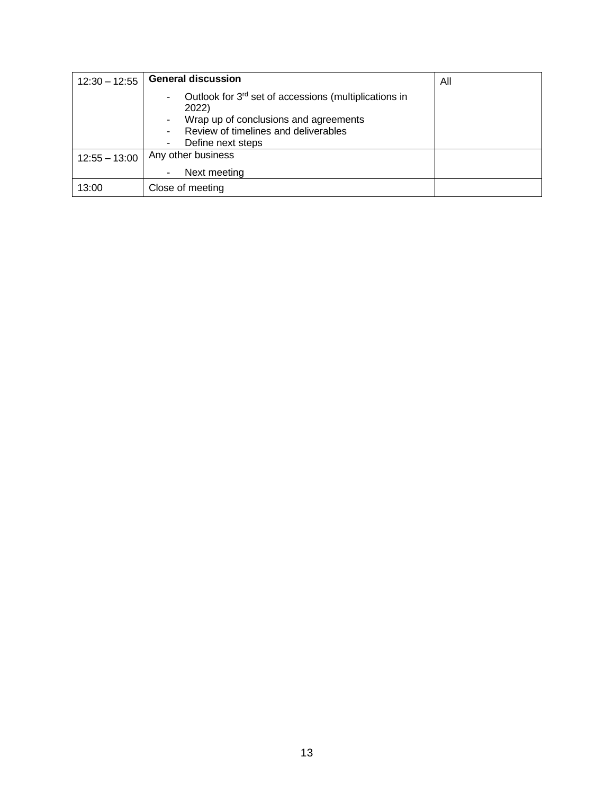| $12:30 - 12:55$ | <b>General discussion</b>                                                                                                                                                             | All |
|-----------------|---------------------------------------------------------------------------------------------------------------------------------------------------------------------------------------|-----|
|                 | Outlook for 3 <sup>rd</sup> set of accessions (multiplications in<br>۰<br>2022)<br>Wrap up of conclusions and agreements<br>Review of timelines and deliverables<br>Define next steps |     |
| $12:55 - 13:00$ | Any other business                                                                                                                                                                    |     |
|                 | Next meeting<br>۰                                                                                                                                                                     |     |
| 13:00           | Close of meeting                                                                                                                                                                      |     |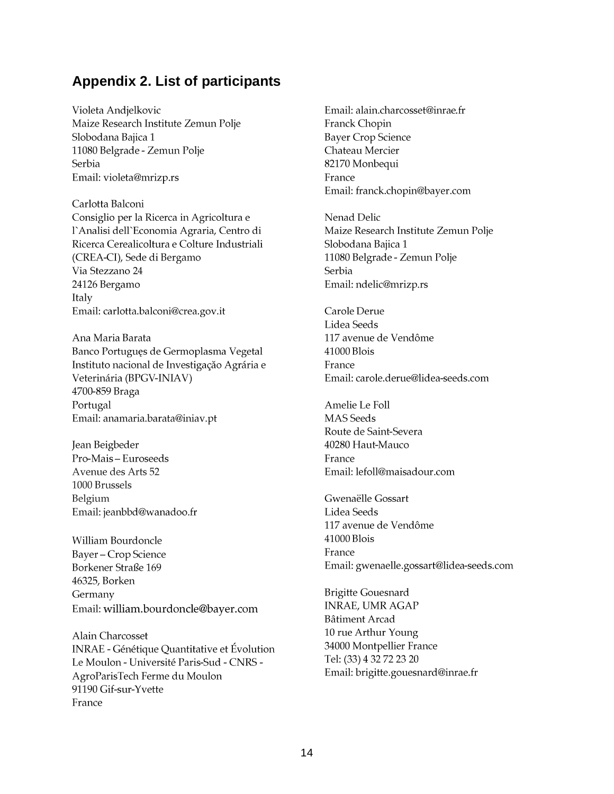# **Appendix 2. List of participants**

Violeta Andjelkovic Maize Research Institute Zemun Polje Slobodana Bajica 1 11080 Belgrade - Zemun Polje Serbia Email: violeta@mrizp.rs

Carlotta Balconi Consiglio per la Ricerca in Agricoltura e l'Analisi dell'Economia Agraria, Centro di Ricerca Cerealicoltura e Colture Industriali (CREA-CI), Sede di Bergamo Via Stezzano 24 24126 Bergamo Italy Email: carlotta.balconi@crea.gov.it

Ana Maria Barata Banco Portuguęs de Germoplasma Vegetal Instituto nacional de Investigação Agrária e Veterinária (BPGV-INIAV) 4700-859 Braga Portugal Email: anamaria.barata@iniav.pt

Jean Beigbeder Pro-Mais - Euroseeds Avenue des Arts 52 1000 Brussels Belgium Email: jeanbbd@wanadoo.fr

William Bourdoncle Bayer - Crop Science Borkener Straße 169 46325, Borken Germany Email: william.bourdoncle@bayer.com

Alain Charcosset INRAE - Génétique Quantitative et Évolution Le Moulon - Université Paris-Sud - CNRS -AgroParisTech Ferme du Moulon 91190 Gif-sur-Yvette France

Email: alain.charcosset@inrae.fr Franck Chopin **Bayer Crop Science** Chateau Mercier 82170 Monbequi France Email: franck.chopin@bayer.com

Nenad Delic Maize Research Institute Zemun Polje Slobodana Bajica 1 11080 Belgrade - Zemun Polje Serbia Email: ndelic@mrizp.rs

Carole Derue Lidea Seeds 117 avenue de Vendôme 41000 Blois France Email: carole.derue@lidea-seeds.com

Amelie Le Foll **MAS** Seeds Route de Saint-Severa 40280 Haut-Mauco France Email: lefoll@maisadour.com

Gwenaëlle Gossart Lidea Seeds 117 avenue de Vendôme 41000 Blois France Email: gwenaelle.gossart@lidea-seeds.com

**Brigitte Gouesnard INRAE, UMR AGAP** Bâtiment Arcad 10 rue Arthur Young 34000 Montpellier France Tel: (33) 4 32 72 23 20 Email: brigitte.gouesnard@inrae.fr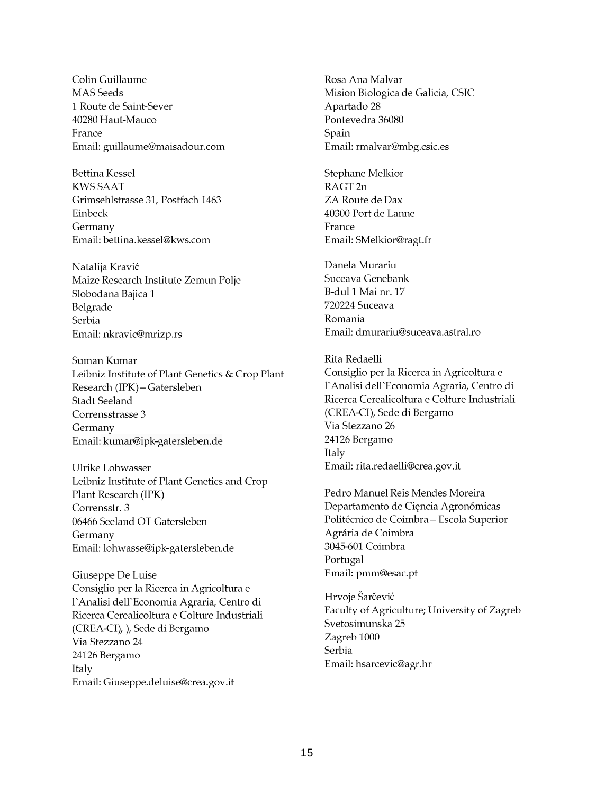Colin Guillaume **MAS** Seeds 1 Route de Saint-Sever 40280 Haut-Mauco France Email: guillaume@maisadour.com

**Bettina Kessel KWS SAAT** Grimsehlstrasse 31, Postfach 1463 Einbeck Germany Email: bettina.kessel@kws.com

Natalija Kravić Maize Research Institute Zemun Polje Slobodana Bajica 1 Belgrade Serbia Email: nkravic@mrizp.rs

Suman Kumar Leibniz Institute of Plant Genetics & Crop Plant Research (IPK) - Gatersleben Stadt Seeland Corrensstrasse 3 Germany Email: kumar@ipk-gatersleben.de

Ulrike Lohwasser Leibniz Institute of Plant Genetics and Crop Plant Research (IPK) Corrensstr. 3 06466 Seeland OT Gatersleben Germany Email: lohwasse@ipk-gatersleben.de

Giuseppe De Luise Consiglio per la Ricerca in Agricoltura e l'Analisi dell'Economia Agraria, Centro di Ricerca Cerealicoltura e Colture Industriali (CREA-CI), ), Sede di Bergamo Via Stezzano 24 24126 Bergamo Italy Email: Giuseppe.deluise@crea.gov.it

Rosa Ana Malvar Mision Biologica de Galicia, CSIC Apartado 28 Pontevedra 36080 Spain Email: rmalvar@mbg.csic.es

**Stephane Melkior** RAGT<sub>2n</sub> ZA Route de Dax 40300 Port de Lanne France Email: SMelkior@ragt.fr

Danela Murariu Suceava Genebank B-dul 1 Mai nr. 17 720224 Suceava Romania Email: dmurariu@suceava.astral.ro

Rita Redaelli Consiglio per la Ricerca in Agricoltura e l'Analisi dell'Economia Agraria, Centro di Ricerca Cerealicoltura e Colture Industriali (CREA-CI), Sede di Bergamo Via Stezzano 26 24126 Bergamo Italy Email: rita.redaelli@crea.gov.it

Pedro Manuel Reis Mendes Moreira Departamento de Cięncia Agronómicas Politécnico de Coimbra – Escola Superior Agrária de Coimbra 3045-601 Coimbra Portugal Email: pmm@esac.pt

Hrvoje Šarčević Faculty of Agriculture; University of Zagreb Svetosimunska 25 Zagreb 1000 Serbia Email: hsarcevic@agr.hr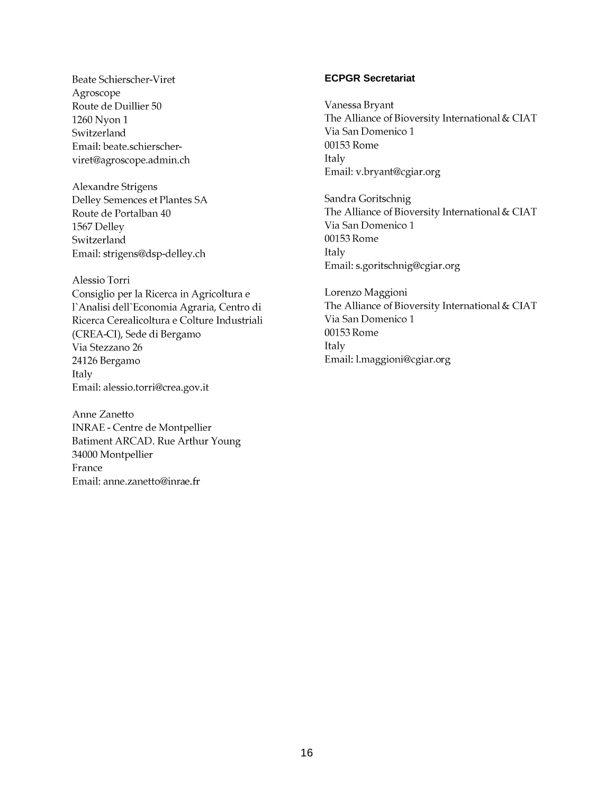Beate Schierscher-Viret Agroscope Route de Duillier 50 1260 Nyon 1 Switzerland Email: beate.schierscherviret@agroscope.admin.ch

Alexandre Strigens Delley Semences et Plantes SA Route de Portalban 40 1567 Delley Switzerland Email: strigens@dsp-delley.ch

Alessio Torri Consiglio per la Ricerca in Agricoltura e l'Analisi dell'Economia Agraria, Centro di Ricerca Cerealicoltura e Colture Industriali (CREA-CI), Sede di Bergamo Via Stezzano 26 24126 Bergamo Italy Email: alessio.torri@crea.gov.it

Anne Zanetto **INRAE - Centre de Montpellier** Batiment ARCAD. Rue Arthur Young 34000 Montpellier France Email: anne.zanetto@inrae.fr

#### **ECPGR Secretariat**

Vanessa Bryant The Alliance of Bioversity International & CIAT Via San Domenico 1 00153 Rome **Italy** Email: v.bryant@cgiar.org

Sandra Goritschnig The Alliance of Bioversity International & CIAT Via San Domenico 1 00153 Rome **Italy** Email: s.goritschnig@cgiar.org

Lorenzo Maggioni The Alliance of Bioversity International & CIAT Via San Domenico 1 00153 Rome Italy Email: l.maggioni@cgiar.org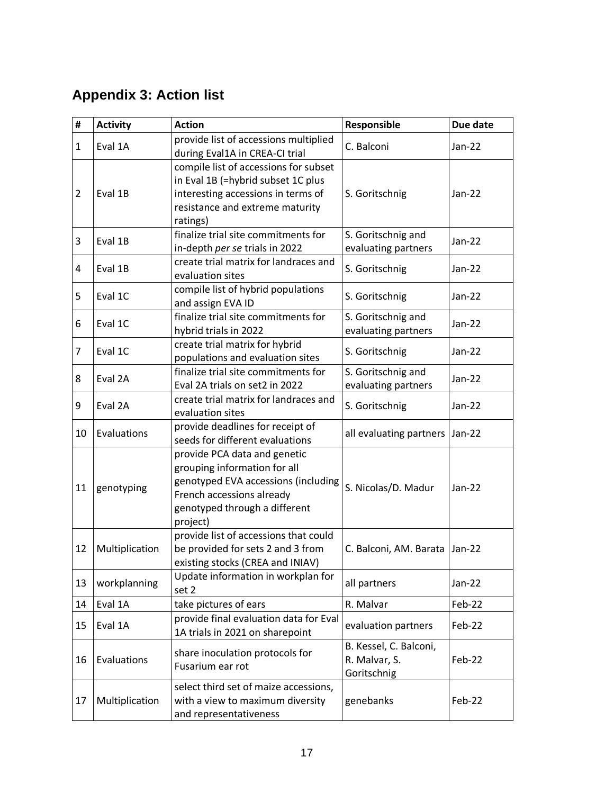# **Appendix 3: Action list**

| $\pmb{\sharp}$ | <b>Activity</b> | <b>Action</b>                          | Responsible                      | Due date |  |
|----------------|-----------------|----------------------------------------|----------------------------------|----------|--|
| $\mathbf{1}$   | Eval 1A         | provide list of accessions multiplied  | C. Balconi                       | Jan-22   |  |
|                |                 | during Eval1A in CREA-CI trial         |                                  |          |  |
|                |                 | compile list of accessions for subset  |                                  |          |  |
|                |                 | in Eval 1B (=hybrid subset 1C plus     |                                  |          |  |
| $\overline{2}$ | Eval 1B         | interesting accessions in terms of     | S. Goritschnig                   | $Jan-22$ |  |
|                |                 | resistance and extreme maturity        |                                  |          |  |
|                |                 | ratings)                               |                                  |          |  |
| 3              | Eval 1B         | finalize trial site commitments for    | S. Goritschnig and               | Jan-22   |  |
|                |                 | in-depth per se trials in 2022         | evaluating partners              |          |  |
| 4              | Eval 1B         | create trial matrix for landraces and  | S. Goritschnig                   | Jan-22   |  |
|                |                 | evaluation sites                       |                                  |          |  |
| 5              | Eval 1C         | compile list of hybrid populations     | S. Goritschnig                   | Jan-22   |  |
|                |                 | and assign EVA ID                      |                                  |          |  |
| 6              | Eval 1C         | finalize trial site commitments for    | S. Goritschnig and               | Jan-22   |  |
|                |                 | hybrid trials in 2022                  | evaluating partners              |          |  |
| 7              | Eval 1C         | create trial matrix for hybrid         | S. Goritschnig                   | Jan-22   |  |
|                |                 | populations and evaluation sites       |                                  |          |  |
| 8              | Eval 2A         | finalize trial site commitments for    | S. Goritschnig and               | Jan-22   |  |
|                |                 | Eval 2A trials on set2 in 2022         | evaluating partners              |          |  |
| 9              | Eval 2A         | create trial matrix for landraces and  | S. Goritschnig                   | Jan-22   |  |
|                |                 | evaluation sites                       |                                  |          |  |
| 10             | Evaluations     | provide deadlines for receipt of       | all evaluating partners   Jan-22 | Jan-22   |  |
|                |                 | seeds for different evaluations        |                                  |          |  |
|                |                 | provide PCA data and genetic           |                                  |          |  |
|                |                 | grouping information for all           |                                  |          |  |
| 11             | genotyping      | genotyped EVA accessions (including    | S. Nicolas/D. Madur              |          |  |
|                |                 | French accessions already              |                                  |          |  |
|                |                 | genotyped through a different          |                                  |          |  |
|                |                 | project)                               |                                  |          |  |
|                |                 | provide list of accessions that could  |                                  | $Jan-22$ |  |
| 12             | Multiplication  | be provided for sets 2 and 3 from      | C. Balconi, AM. Barata           |          |  |
|                |                 | existing stocks (CREA and INIAV)       |                                  |          |  |
| 13             | workplanning    | Update information in workplan for     | all partners                     | Jan-22   |  |
|                |                 | set 2                                  |                                  |          |  |
| 14             | Eval 1A         | take pictures of ears                  | R. Malvar                        | Feb-22   |  |
| 15             | Eval 1A         | provide final evaluation data for Eval | evaluation partners              | Feb-22   |  |
|                |                 | 1A trials in 2021 on sharepoint        |                                  |          |  |
| 16             |                 | share inoculation protocols for        | B. Kessel, C. Balconi,           | Feb-22   |  |
|                | Evaluations     | Fusarium ear rot                       | R. Malvar, S.                    |          |  |
|                |                 |                                        | Goritschnig                      |          |  |
|                |                 | select third set of maize accessions,  |                                  |          |  |
| 17             | Multiplication  | with a view to maximum diversity       | genebanks                        | Feb-22   |  |
|                |                 | and representativeness                 |                                  |          |  |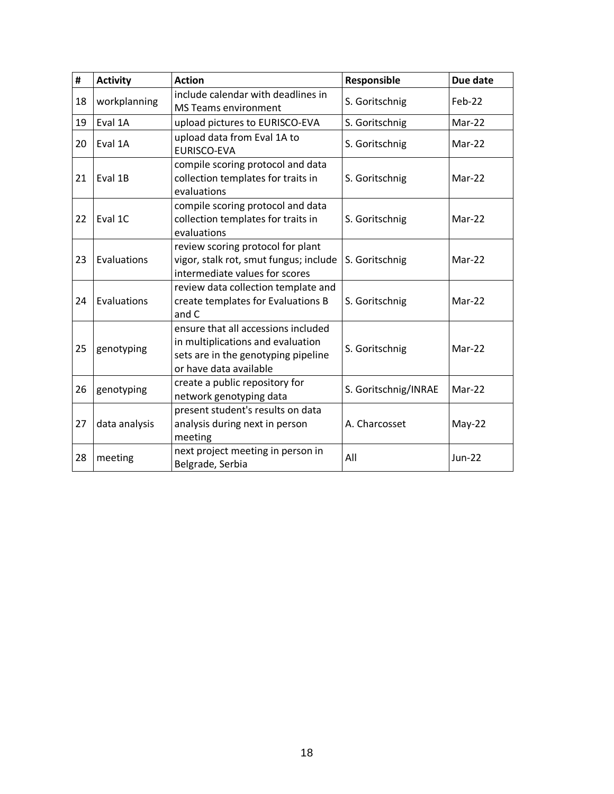| #  | <b>Activity</b> | <b>Action</b>                                                                                                                             | Responsible          | Due date      |
|----|-----------------|-------------------------------------------------------------------------------------------------------------------------------------------|----------------------|---------------|
| 18 | workplanning    | include calendar with deadlines in<br><b>MS Teams environment</b>                                                                         | S. Goritschnig       | Feb-22        |
| 19 | Eval 1A         | upload pictures to EURISCO-EVA                                                                                                            | S. Goritschnig       | Mar-22        |
| 20 | Eval 1A         | upload data from Eval 1A to<br><b>EURISCO-EVA</b>                                                                                         | S. Goritschnig       | Mar-22        |
| 21 | Eval 1B         | compile scoring protocol and data<br>collection templates for traits in<br>evaluations                                                    | S. Goritschnig       | Mar-22        |
| 22 | Eval 1C         | compile scoring protocol and data<br>collection templates for traits in<br>evaluations                                                    | S. Goritschnig       | $Mar-22$      |
| 23 | Evaluations     | review scoring protocol for plant<br>vigor, stalk rot, smut fungus; include<br>intermediate values for scores                             | S. Goritschnig       | Mar-22        |
| 24 | Evaluations     | review data collection template and<br>create templates for Evaluations B<br>and C                                                        | S. Goritschnig       | Mar-22        |
| 25 | genotyping      | ensure that all accessions included<br>in multiplications and evaluation<br>sets are in the genotyping pipeline<br>or have data available | S. Goritschnig       | $Mar-22$      |
| 26 | genotyping      | create a public repository for<br>network genotyping data                                                                                 | S. Goritschnig/INRAE | Mar-22        |
| 27 | data analysis   | present student's results on data<br>analysis during next in person<br>meeting                                                            | A. Charcosset        | $May-22$      |
| 28 | meeting         | next project meeting in person in<br>Belgrade, Serbia                                                                                     | All                  | <b>Jun-22</b> |